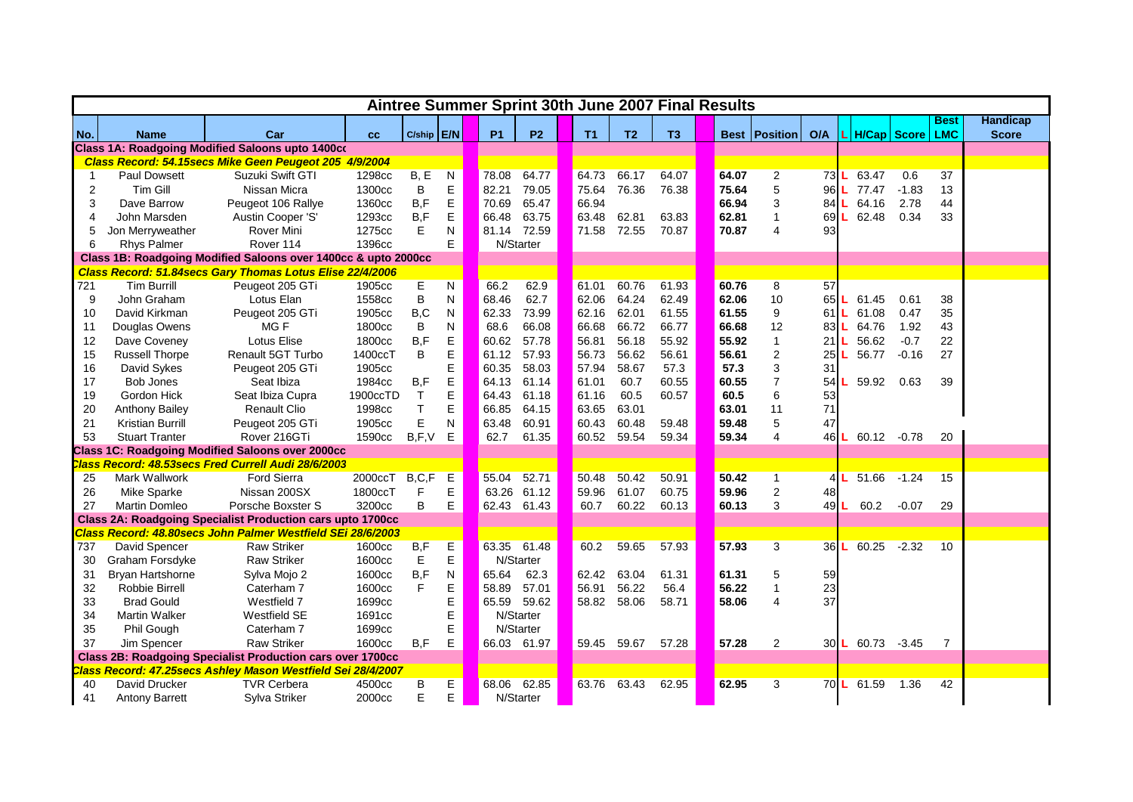|     |                         |                                                                   |          | Aintree Summer Sprint 30th June 2007 Final Results |              |           |             |                |                |                |       |                          |      |                  |                     |                |                 |
|-----|-------------------------|-------------------------------------------------------------------|----------|----------------------------------------------------|--------------|-----------|-------------|----------------|----------------|----------------|-------|--------------------------|------|------------------|---------------------|----------------|-----------------|
|     |                         |                                                                   |          |                                                    |              |           |             |                |                |                |       |                          |      |                  |                     | <b>Best</b>    | <b>Handicap</b> |
| No. | <b>Name</b>             | Car                                                               | cc       | C/ship E/N                                         |              | <b>P1</b> | <b>P2</b>   | T <sub>1</sub> | T <sub>2</sub> | T <sub>3</sub> |       | <b>Best   Position  </b> | O/A  |                  | H/Cap   Score   LMC |                | <b>Score</b>    |
|     |                         | <b>Class 1A: Roadgoing Modified Saloons upto 1400co</b>           |          |                                                    |              |           |             |                |                |                |       |                          |      |                  |                     |                |                 |
|     |                         | Class Record: 54.15secs Mike Geen Peugeot 205 4/9/2004            |          |                                                    |              |           |             |                |                |                |       |                          |      |                  |                     |                |                 |
|     | <b>Paul Dowsett</b>     | Suzuki Swift GTI                                                  | 1298cc   | B, E                                               | N            | 78.08     | 64.77       | 64.73          | 66.17          | 64.07          | 64.07 | $\overline{\mathbf{c}}$  | 73   | 63.47            | 0.6                 | 37             |                 |
| 2   | <b>Tim Gill</b>         | Nissan Micra                                                      | 1300cc   | $\sf B$                                            | E            | 82.21     | 79.05       | 75.64          | 76.36          | 76.38          | 75.64 | 5                        | 96   | 77.47            | $-1.83$             | 13             |                 |
| 3   | Dave Barrow             | Peugeot 106 Rallye                                                | 1360cc   | B, F                                               | E            | 70.69     | 65.47       | 66.94          |                |                | 66.94 | 3                        | 84   | 64.16            | 2.78                | 44             |                 |
| 4   | John Marsden            | Austin Cooper 'S'                                                 | 1293cc   | B, F                                               | E            | 66.48     | 63.75       | 63.48          | 62.81          | 63.83          | 62.81 | $\overline{1}$           | 69   | 62.48            | 0.34                | 33             |                 |
| 5   | Jon Merryweather        | <b>Rover Mini</b>                                                 | 1275cc   | E                                                  | N            | 81.14     | 72.59       | 71.58          | 72.55          | 70.87          | 70.87 | 4                        | 93   |                  |                     |                |                 |
| 6   | <b>Rhys Palmer</b>      | Rover 114                                                         | 1396cc   |                                                    | E.           |           | N/Starter   |                |                |                |       |                          |      |                  |                     |                |                 |
|     |                         | Class 1B: Roadgoing Modified Saloons over 1400cc & upto 2000cc    |          |                                                    |              |           |             |                |                |                |       |                          |      |                  |                     |                |                 |
|     |                         | Class Record: 51.84secs Gary Thomas Lotus Elise 22/4/2006         |          |                                                    |              |           |             |                |                |                |       |                          |      |                  |                     |                |                 |
| 721 | <b>Tim Burrill</b>      | Peugeot 205 GTi                                                   | 1905cc   | E                                                  | $\mathsf{N}$ | 66.2      | 62.9        | 61.01          | 60.76          | 61.93          | 60.76 | 8                        | 57   |                  |                     |                |                 |
| 9   | John Graham             | Lotus Elan                                                        | 1558cc   | B                                                  | N            | 68.46     | 62.7        | 62.06          | 64.24          | 62.49          | 62.06 | 10                       | 65   | 61.45            | 0.61                | 38             |                 |
| 10  | David Kirkman           | Peugeot 205 GTi                                                   | 1905cc   | B,C                                                | N            | 62.33     | 73.99       | 62.16          | 62.01          | 61.55          | 61.55 | $\boldsymbol{9}$         | 61   | 61.08            | 0.47                | 35             |                 |
| 11  | Douglas Owens           | MG <sub>F</sub>                                                   | 1800cc   | $\sf B$                                            | N            | 68.6      | 66.08       | 66.68          | 66.72          | 66.77          | 66.68 | 12                       | 83   | 64.76            | 1.92                | 43             |                 |
| 12  | Dave Coveney            | <b>Lotus Elise</b>                                                | 1800cc   | B, F                                               | E            | 60.62     | 57.78       | 56.81          | 56.18          | 55.92          | 55.92 | $\mathbf{1}$             | 21   | 56.62            | $-0.7$              | 22             |                 |
| 15  | <b>Russell Thorpe</b>   | <b>Renault 5GT Turbo</b>                                          | 1400ccT  | B                                                  | E            | 61.12     | 57.93       | 56.73          | 56.62          | 56.61          | 56.61 | $\boldsymbol{2}$         | 25   | 56.77            | $-0.16$             | 27             |                 |
| 16  | David Sykes             | Peugeot 205 GTi                                                   | 1905cc   |                                                    | E            | 60.35     | 58.03       | 57.94          | 58.67          | 57.3           | 57.3  | 3                        | 31   |                  |                     |                |                 |
| 17  | Bob Jones               | Seat Ibiza                                                        | 1984cc   | B, F                                               | E            | 64.13     | 61.14       | 61.01          | 60.7           | 60.55          | 60.55 | $\overline{7}$           | 54   | 59.92            | 0.63                | 39             |                 |
| 19  | Gordon Hick             | Seat Ibiza Cupra                                                  | 1900ccTD | $\top$                                             | E            | 64.43     | 61.18       | 61.16          | 60.5           | 60.57          | 60.5  | 6                        | 53   |                  |                     |                |                 |
| 20  | <b>Anthony Bailey</b>   | <b>Renault Clio</b>                                               | 1998cc   | $\sf T$                                            | E            | 66.85     | 64.15       | 63.65          | 63.01          |                | 63.01 | 11                       | 71   |                  |                     |                |                 |
| 21  | <b>Kristian Burrill</b> | Peugeot 205 GTi                                                   | 1905cc   | E                                                  | N            | 63.48     | 60.91       | 60.43          | 60.48          | 59.48          | 59.48 | 5                        | 47   |                  |                     |                |                 |
| 53  | <b>Stuart Tranter</b>   | Rover 216GTi                                                      | 1590cc   | B, F, V                                            | Е            | 62.7      | 61.35       | 60.52          | 59.54          | 59.34          | 59.34 | 4                        | 46   | 60.12            | $-0.78$             | 20             |                 |
|     |                         | <b>Class 1C: Roadgoing Modified Saloons over 2000cc</b>           |          |                                                    |              |           |             |                |                |                |       |                          |      |                  |                     |                |                 |
|     |                         | Class Record: 48.53secs Fred Currell Audi 28/6/2003               |          |                                                    |              |           |             |                |                |                |       |                          |      |                  |                     |                |                 |
| 25  | Mark Wallwork           | <b>Ford Sierra</b>                                                | 2000ccT  | B, C, F                                            | Е            | 55.04     | 52.71       | 50.48          | 50.42          | 50.91          | 50.42 | $\mathbf 1$              | 41   | 51.66            | $-1.24$             | 15             |                 |
| 26  | Mike Sparke             | Nissan 200SX                                                      | 1800ccT  | F                                                  | E            | 63.26     | 61.12       | 59.96          | 61.07          | 60.75          | 59.96 | $\overline{2}$           | 48   |                  |                     |                |                 |
| 27  | <b>Martin Domleo</b>    | Porsche Boxster S                                                 | 3200cc   | B                                                  | E            | 62.43     | 61.43       | 60.7           | 60.22          | 60.13          | 60.13 | 3                        | 49L  | 60.2             | $-0.07$             | 29             |                 |
|     |                         | <b>Class 2A: Roadgoing Specialist Production cars upto 1700cc</b> |          |                                                    |              |           |             |                |                |                |       |                          |      |                  |                     |                |                 |
|     |                         | Class Record: 48.80secs John Palmer Westfield SEi 28/6/2003       |          |                                                    |              |           |             |                |                |                |       |                          |      |                  |                     |                |                 |
| 737 | David Spencer           | <b>Raw Striker</b>                                                | 1600cc   | B, F                                               | Е            | 63.35     | 61.48       | 60.2           | 59.65          | 57.93          | 57.93 | 3                        | 36 L | 60.25            | $-2.32$             | 10             |                 |
| 30  | Graham Forsdyke         | <b>Raw Striker</b>                                                | 1600cc   | E                                                  | Е            |           | N/Starter   |                |                |                |       |                          |      |                  |                     |                |                 |
| 31  | Bryan Hartshorne        | Sylva Mojo 2                                                      | 1600cc   | B,F                                                | N            | 65.64     | 62.3        | 62.42          | 63.04          | 61.31          | 61.31 | 5                        | 59   |                  |                     |                |                 |
| 32  | <b>Robbie Birrell</b>   | Caterham 7                                                        | 1600cc   | F                                                  | Е            | 58.89     | 57.01       | 56.91          | 56.22          | 56.4           | 56.22 | 1                        | 23   |                  |                     |                |                 |
| 33  | <b>Brad Gould</b>       | Westfield 7                                                       | 1699cc   |                                                    | E            |           | 65.59 59.62 |                | 58.82 58.06    | 58.71          | 58.06 | 4                        | 37   |                  |                     |                |                 |
| 34  | <b>Martin Walker</b>    | Westfield SE                                                      | 1691cc   |                                                    | E            |           | N/Starter   |                |                |                |       |                          |      |                  |                     |                |                 |
| 35  | Phil Gough              | Caterham 7                                                        | 1699cc   |                                                    | E            |           | N/Starter   |                |                |                |       |                          |      |                  |                     |                |                 |
| 37  | Jim Spencer             | <b>Raw Striker</b>                                                | 1600cc   | B, F                                               | Е            |           | 66.03 61.97 |                | 59.45 59.67    | 57.28          | 57.28 | $\overline{2}$           |      | 30 L 60.73 -3.45 |                     | $\overline{7}$ |                 |
|     |                         | <b>Class 2B: Roadgoing Specialist Production cars over 1700cc</b> |          |                                                    |              |           |             |                |                |                |       |                          |      |                  |                     |                |                 |
|     |                         | Class Record: 47.25secs Ashley Mason Westfield Sei 28/4/2007      |          |                                                    |              |           |             |                |                |                |       |                          |      |                  |                     |                |                 |
| 40  | David Drucker           | <b>TVR Cerbera</b>                                                | 4500cc   | B                                                  | E.           |           | 68.06 62.85 |                | 63.76 63.43    | 62.95          | 62.95 | 3                        |      | 70 L 61.59 1.36  |                     | 42             |                 |
| 41  | <b>Antony Barrett</b>   | Sylva Striker                                                     | 2000cc   | Е                                                  | E.           |           | N/Starter   |                |                |                |       |                          |      |                  |                     |                |                 |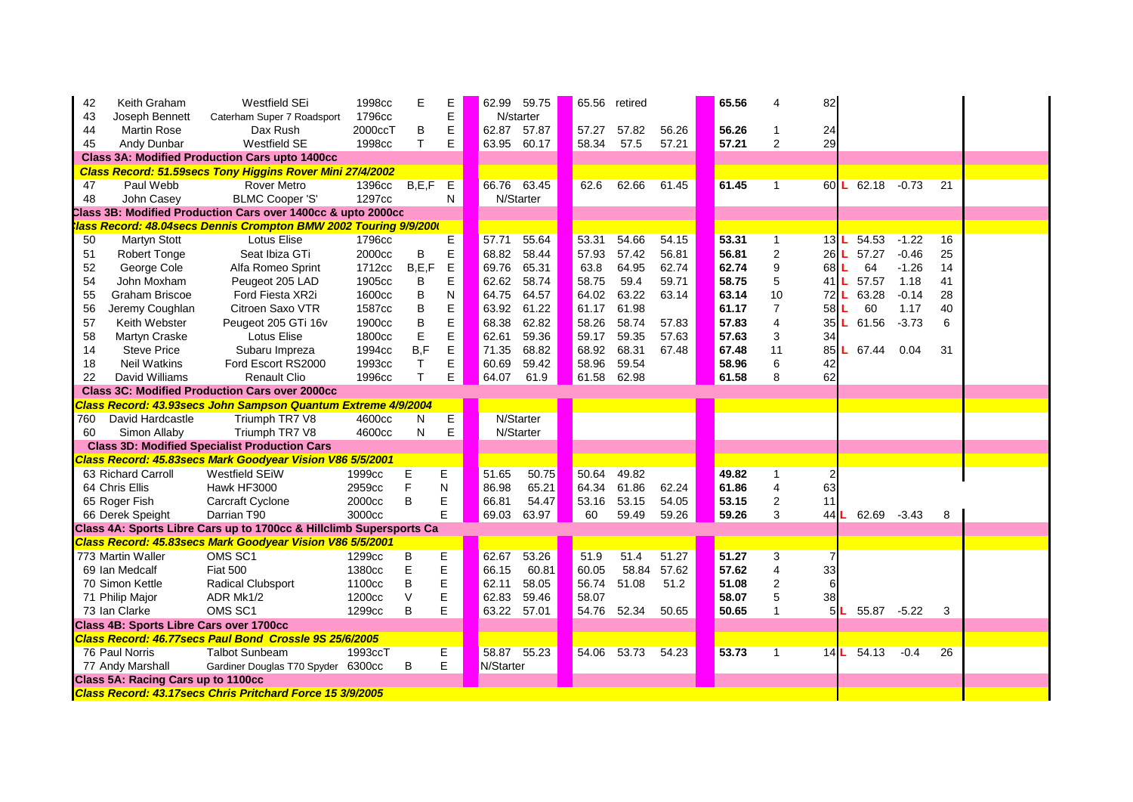| 42  | Keith Graham                                          | Westfield SEi                                                       | 1998cc  | Е       | E            | 62.99     | 59.75       | 65.56 retired |                   |       | 65.56 | 4                | 82      |                    |             |         |                         |  |
|-----|-------------------------------------------------------|---------------------------------------------------------------------|---------|---------|--------------|-----------|-------------|---------------|-------------------|-------|-------|------------------|---------|--------------------|-------------|---------|-------------------------|--|
| 43  | Joseph Bennett                                        | Caterham Super 7 Roadsport                                          | 1796cc  |         | E            |           | N/starter   |               |                   |       |       |                  |         |                    |             |         |                         |  |
| 44  | <b>Martin Rose</b>                                    | Dax Rush                                                            | 2000ccT | В       | E            | 62.87     | 57.87       | 57.27         | 57.82             | 56.26 | 56.26 |                  | 24      |                    |             |         |                         |  |
| 45  | Andy Dunbar                                           | Westfield SE                                                        | 1998cc  | T.      | E            | 63.95     | 60.17       | 58.34         | 57.5              | 57.21 | 57.21 | $\overline{2}$   | 29      |                    |             |         |                         |  |
|     |                                                       | <b>Class 3A: Modified Production Cars upto 1400cc</b>               |         |         |              |           |             |               |                   |       |       |                  |         |                    |             |         |                         |  |
|     |                                                       | Class Record: 51.59secs Tony Higgins Rover Mini 27/4/2002           |         |         |              |           |             |               |                   |       |       |                  |         |                    |             |         |                         |  |
| 47  | Paul Webb                                             | <b>Rover Metro</b>                                                  | 1396cc  | B, E, F | E            |           | 66.76 63.45 | 62.6          | 62.66             | 61.45 | 61.45 | 1                |         | 60 L 62.18         |             | $-0.73$ | 21                      |  |
| 48  | John Casey                                            | <b>BLMC Cooper 'S'</b>                                              | 1297cc  |         | N            |           | N/Starter   |               |                   |       |       |                  |         |                    |             |         |                         |  |
|     |                                                       | Class 3B: Modified Production Cars over 1400cc & upto 2000cc        |         |         |              |           |             |               |                   |       |       |                  |         |                    |             |         |                         |  |
|     |                                                       | lass Record: 48.04secs Dennis Crompton BMW 2002 Touring 9/9/2000    |         |         |              |           |             |               |                   |       |       |                  |         |                    |             |         |                         |  |
| 50  | <b>Martyn Stott</b>                                   | Lotus Elise                                                         | 1796cc  |         | Ε            | 57.71     | 55.64       | 53.31         | 54.66             | 54.15 | 53.31 | 1                | 13L     | 54.53              |             | $-1.22$ | 16                      |  |
| 51  | <b>Robert Tonge</b>                                   | Seat Ibiza GTi                                                      | 2000cc  | B       | E            | 68.82     | 58.44       | 57.93         | 57.42             | 56.81 | 56.81 | $\boldsymbol{2}$ | $26$    | 57.27              |             | $-0.46$ | 25                      |  |
| 52  | George Cole                                           | Alfa Romeo Sprint                                                   | 1712cc  | B, E, F | $\mathsf E$  | 69.76     | 65.31       | 63.8          | 64.95             | 62.74 | 62.74 | 9                | 68      | 64                 |             | $-1.26$ | 14                      |  |
| 54  | John Moxham                                           | Peugeot 205 LAD                                                     | 1905cc  | B       | E            | 62.62     | 58.74       | 58.75         | 59.4              | 59.71 | 58.75 | 5                | 41      | 57.57              |             | 1.18    | 41                      |  |
| 55  | <b>Graham Briscoe</b>                                 | Ford Fiesta XR2i                                                    | 1600cc  |         | $\mathsf{N}$ | 64.75     | 64.57       | 64.02         | 63.22             | 63.14 | 63.14 | 10               | $72$  L | 63.28              |             | $-0.14$ | 28                      |  |
| 56  | Jeremy Coughlan                                       | Citroen Saxo VTR                                                    | 1587cc  |         | E            | 63.92     | 61.22       | 61.17         | 61.98             |       | 61.17 | $\overline{7}$   | $58$    | 60                 |             | 1.17    | 40                      |  |
| 57  | Keith Webster                                         | Peugeot 205 GTi 16v                                                 | 1900cc  |         | E            | 68.38     | 62.82       | 58.26         | 58.74             | 57.83 | 57.83 | 4                | 35      | 61.56              |             | $-3.73$ | 6                       |  |
| 58  | Martyn Craske                                         | Lotus Elise                                                         | 1800cc  |         | E            | 62.61     | 59.36       | 59.17         | 59.35             | 57.63 | 57.63 | 3                | 34      |                    |             |         |                         |  |
| 14  | <b>Steve Price</b>                                    | Subaru Impreza                                                      | 1994cc  | B, F    | E            | 71.35     | 68.82       | 68.92         | 68.31             | 67.48 | 67.48 | 11               | 85      | 67.44              |             | 0.04    | 31                      |  |
| 18  | <b>Neil Watkins</b>                                   | Ford Escort RS2000                                                  | 1993cc  |         | E            | 60.69     | 59.42       | 58.96         | 59.54             |       | 58.96 | 6                | 42      |                    |             |         |                         |  |
| 22  | David Williams                                        | <b>Renault Clio</b>                                                 | 1996cc  |         | E            | 64.07     | 61.9        | 61.58         | 62.98             |       | 61.58 | 8                | 62      |                    |             |         |                         |  |
|     | <b>Class 3C: Modified Production Cars over 2000cc</b> |                                                                     |         |         |              |           |             |               |                   |       |       |                  |         |                    |             |         |                         |  |
|     |                                                       | Class Record: 43.93secs John Sampson Quantum Extreme 4/9/2004       |         |         |              |           |             |               |                   |       |       |                  |         |                    |             |         |                         |  |
| 760 | David Hardcastle                                      | Triumph TR7 V8                                                      | 4600cc  | N       | Е            |           | N/Starter   |               |                   |       |       |                  |         |                    |             |         |                         |  |
| 60  | Simon Allaby                                          | Triumph TR7 V8                                                      | 4600cc  | N       | E            |           | N/Starter   |               |                   |       |       |                  |         |                    |             |         |                         |  |
|     |                                                       | <b>Class 3D: Modified Specialist Production Cars</b>                |         |         |              |           |             |               |                   |       |       |                  |         |                    |             |         |                         |  |
|     |                                                       | Class Record: 45.83secs Mark Goodyear Vision V86 5/5/2001           |         |         |              |           |             |               |                   |       |       |                  |         |                    |             |         |                         |  |
|     | 63 Richard Carroll                                    | <b>Westfield SEIW</b>                                               | 1999cc  | Е       | Е            | 51.65     | 50.75       | 50.64         | 49.82             |       | 49.82 | 1                | 2       |                    |             |         |                         |  |
|     | 64 Chris Ellis                                        | Hawk HF3000                                                         | 2959cc  | F       | N            | 86.98     | 65.21       | 64.34         | 61.86             | 62.24 | 61.86 | 4                | 63      |                    |             |         |                         |  |
|     | 65 Roger Fish                                         | <b>Carcraft Cyclone</b>                                             | 2000cc  | B       | $\mathsf E$  | 66.81     | 54.47       | 53.16         | 53.15             | 54.05 | 53.15 | $\overline{2}$   | 11      |                    |             |         |                         |  |
|     | 66 Derek Speight                                      | Darrian T90                                                         | 3000cc  |         | E            | 69.03     | 63.97       | 60            | 59.49             | 59.26 | 59.26 | 3                | 44      | 62.69              |             | $-3.43$ | 8                       |  |
|     |                                                       | Class 4A: Sports Libre Cars up to 1700cc & Hillclimb Supersports Ca |         |         |              |           |             |               |                   |       |       |                  |         |                    |             |         |                         |  |
|     |                                                       | Class Record: 45.83secs Mark Goodyear Vision V86 5/5/2001           |         |         |              |           |             |               |                   |       |       |                  |         |                    |             |         |                         |  |
|     | 773 Martin Waller                                     | OMS SC1                                                             | 1299cc  | В       | E            | 62.67     | 53.26       | 51.9          | 51.4              | 51.27 | 51.27 | 3                |         |                    |             |         |                         |  |
|     | 69 Ian Medcalf                                        | <b>Fiat 500</b>                                                     | 1380cc  | E       | E            | 66.15     | 60.81       | 60.05         | 58.84             | 57.62 | 57.62 | 4                | 33      |                    |             |         |                         |  |
|     | 70 Simon Kettle                                       | Radical Clubsport                                                   | 1100cc  | B       | E            | 62.11     | 58.05       | 56.74         | 51.08             | 51.2  | 51.08 | $\overline{2}$   | 6       |                    |             |         |                         |  |
|     | 71 Philip Major                                       | ADR Mk1/2                                                           | 1200cc  | $\vee$  | E            |           | 62.83 59.46 | 58.07         |                   |       | 58.07 | 5                | 38      |                    |             |         |                         |  |
|     | 73 Ian Clarke                                         | OMS SC1                                                             | 1299cc  | B       | Е            |           | 63.22 57.01 |               | 54.76 52.34 50.65 |       | 50.65 |                  |         | 5L                 | 55.87 -5.22 |         | $\overline{\mathbf{3}}$ |  |
|     | <b>Class 4B: Sports Libre Cars over 1700cc</b>        |                                                                     |         |         |              |           |             |               |                   |       |       |                  |         |                    |             |         |                         |  |
|     |                                                       | Class Record: 46.77secs Paul Bond Crossle 9S 25/6/2005              |         |         |              |           |             |               |                   |       |       |                  |         |                    |             |         |                         |  |
|     | 76 Paul Norris                                        | <b>Talbot Sunbeam</b>                                               | 1993ccT |         | E            |           | 58.87 55.23 |               | 54.06 53.73 54.23 |       | 53.73 | $\mathbf 1$      |         | $14$ L 54.13 - 0.4 |             |         | 26                      |  |
|     | 77 Andy Marshall                                      | Gardiner Douglas T70 Spyder 6300cc                                  |         | B       | E            | N/Starter |             |               |                   |       |       |                  |         |                    |             |         |                         |  |
|     | Class 5A: Racing Cars up to 1100cc                    |                                                                     |         |         |              |           |             |               |                   |       |       |                  |         |                    |             |         |                         |  |
|     |                                                       | Class Record: 43.17secs Chris Pritchard Force 15 3/9/2005           |         |         |              |           |             |               |                   |       |       |                  |         |                    |             |         |                         |  |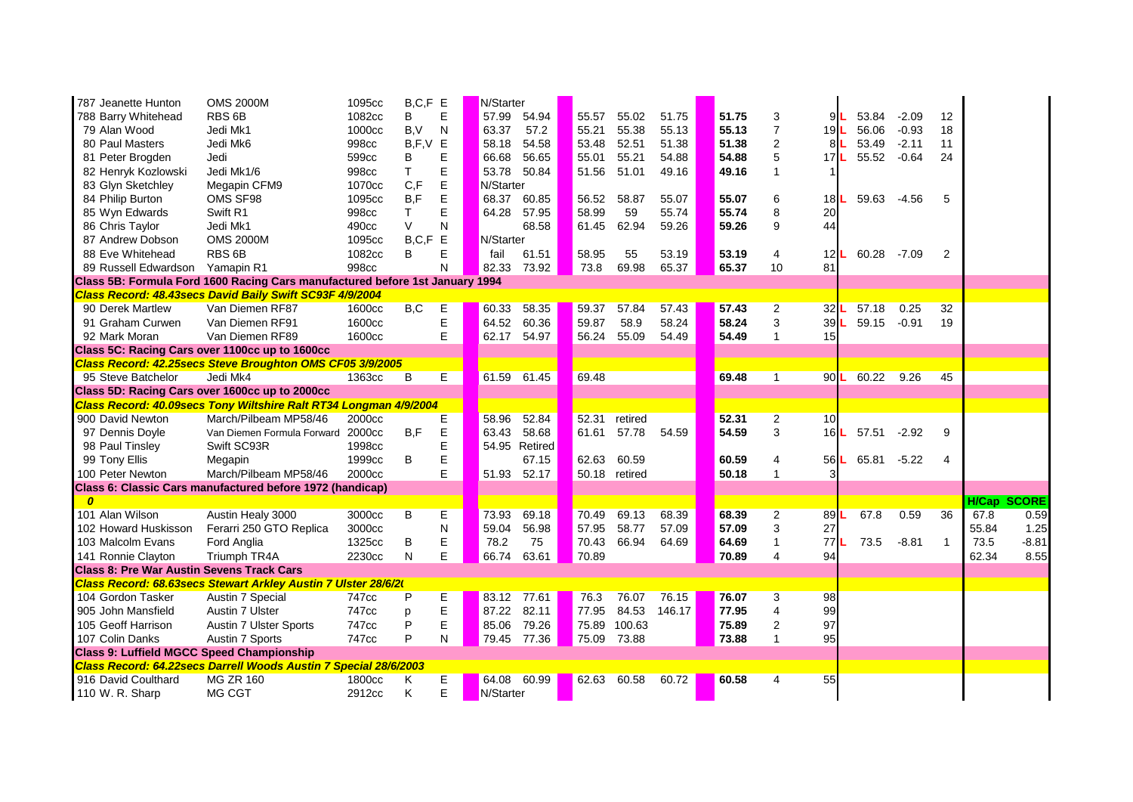| 787 Jeanette Hunton                              | <b>OMS 2000M</b>                                                             | 1095cc | $B, C, F$ E |           | N/Starter                                                                                |               |       |                  |        |       |                |                 |            |         |    |             |         |
|--------------------------------------------------|------------------------------------------------------------------------------|--------|-------------|-----------|------------------------------------------------------------------------------------------|---------------|-------|------------------|--------|-------|----------------|-----------------|------------|---------|----|-------------|---------|
| 788 Barry Whitehead                              | RBS <sub>6B</sub>                                                            | 1082cc | В           | E         | 57.99                                                                                    | 54.94         | 55.57 | 55.02            | 51.75  | 51.75 | 3              | 9L              | 53.84      | $-2.09$ | 12 |             |         |
| 79 Alan Wood                                     | Jedi Mk1                                                                     | 1000cc | B, V        | N         | 63.37                                                                                    | 57.2          | 55.21 | 55.38            | 55.13  | 55.13 | $\overline{7}$ | 19L             | 56.06      | $-0.93$ | 18 |             |         |
| 80 Paul Masters                                  | Jedi Mk6                                                                     | 998cc  | B, F, V     | E         | 58.18                                                                                    | 54.58         | 53.48 | 52.51            | 51.38  | 51.38 | $\overline{2}$ | 81L             | 53.49      | $-2.11$ | 11 |             |         |
| 81 Peter Brogden                                 | Jedi                                                                         | 599cc  | B           | Е         | 66.68                                                                                    | 56.65         | 55.01 | 55.21            | 54.88  | 54.88 | 5              | 17L             | 55.52      | $-0.64$ | 24 |             |         |
| 82 Henryk Kozlowski                              | Jedi Mk1/6                                                                   | 998cc  | T           | E         | 53.78                                                                                    | 50.84         | 51.56 | 51.01            | 49.16  | 49.16 |                |                 |            |         |    |             |         |
| 83 Glyn Sketchley                                | Megapin CFM9                                                                 | 1070cc | C, F        | E         | N/Starter                                                                                |               |       |                  |        |       |                |                 |            |         |    |             |         |
| 84 Philip Burton                                 | OMS SF98                                                                     | 1095cc | B,F         | E         | 68.37                                                                                    | 60.85         | 56.52 | 58.87            | 55.07  | 55.07 | 6              | $18$  L         | 59.63      | $-4.56$ | -5 |             |         |
| 85 Wyn Edwards                                   | Swift R1                                                                     | 998cc  | $\mathsf T$ | E         | 64.28                                                                                    | 57.95         | 58.99 | 59               | 55.74  | 55.74 | 8              | 20              |            |         |    |             |         |
| 86 Chris Taylor                                  | Jedi Mk1                                                                     | 490cc  | $\vee$      | Ν         |                                                                                          | 68.58         | 61.45 | 62.94            | 59.26  | 59.26 | 9              | 44              |            |         |    |             |         |
| 87 Andrew Dobson                                 | <b>OMS 2000M</b>                                                             | 1095cc | B, C, F     | E         | N/Starter                                                                                |               |       |                  |        |       |                |                 |            |         |    |             |         |
| 88 Eve Whitehead                                 | RBS <sub>6B</sub>                                                            | 1082cc | B           | E         | fail                                                                                     | 61.51         | 58.95 | 55               | 53.19  | 53.19 | 4              | 12L             | 60.28      | $-7.09$ | 2  |             |         |
| 89 Russell Edwardson                             | Yamapin R1                                                                   | 998cc  |             | N         | 82.33                                                                                    | 73.92         | 73.8  | 69.98            | 65.37  | 65.37 | 10             | 81              |            |         |    |             |         |
|                                                  | Class 5B: Formula Ford 1600 Racing Cars manufactured before 1st January 1994 |        |             |           |                                                                                          |               |       |                  |        |       |                |                 |            |         |    |             |         |
|                                                  | Class Record: 48.43secs David Baily Swift SC93F 4/9/2004                     |        |             |           |                                                                                          |               |       |                  |        |       |                |                 |            |         |    |             |         |
| 90 Derek Martlew                                 | Van Diemen RF87                                                              | 1600cc | B,C         | Е         | 60.33                                                                                    | 58.35         | 59.37 | 57.84            | 57.43  | 57.43 | $\overline{2}$ | 32L             | 57.18      | 0.25    | 32 |             |         |
| 91 Graham Curwen                                 | Van Diemen RF91                                                              | 1600cc |             | E         | 64.52                                                                                    | 60.36         | 59.87 | 58.9             | 58.24  | 58.24 | 3              | 39L             | 59.15      | $-0.91$ | 19 |             |         |
| 92 Mark Moran                                    | Van Diemen RF89                                                              | 1600cc |             | E         | 62.17                                                                                    | 54.97         | 56.24 | 55.09            | 54.49  | 54.49 |                | 15              |            |         |    |             |         |
|                                                  | Class 5C: Racing Cars over 1100cc up to 1600cc                               |        |             |           |                                                                                          |               |       |                  |        |       |                |                 |            |         |    |             |         |
|                                                  | Class Record: 42.25secs Steve Broughton OMS CF05 3/9/2005                    |        |             |           |                                                                                          |               |       |                  |        |       |                |                 |            |         |    |             |         |
| 95 Steve Batchelor                               | Jedi Mk4                                                                     | 1363cc | B           | E         | 61.59                                                                                    | 61.45         | 69.48 |                  |        | 69.48 |                |                 | 90 L 60.22 | 9.26    | 45 |             |         |
|                                                  | Class 5D: Racing Cars over 1600cc up to 2000cc                               |        |             |           |                                                                                          |               |       |                  |        |       |                |                 |            |         |    |             |         |
|                                                  | Class Record: 40.09secs Tony Wiltshire Ralt RT34 Longman 4/9/2004            |        |             |           |                                                                                          |               |       |                  |        |       |                |                 |            |         |    |             |         |
| 900 David Newton                                 | March/Pilbeam MP58/46                                                        | 2000cc |             | Е         | 58.96                                                                                    | 52.84         | 52.31 | retired          |        | 52.31 | $\overline{2}$ | 10 <sup>1</sup> |            |         |    |             |         |
| 97 Dennis Doyle                                  | Van Diemen Formula Forward 2000cc                                            |        | B, F        | E         | 63.43                                                                                    | 58.68         | 61.61 | 57.78            | 54.59  | 54.59 | 3              | 16L             | 57.51      | $-2.92$ | 9  |             |         |
| 98 Paul Tinsley                                  | Swift SC93R                                                                  | 1998cc |             | E         |                                                                                          | 54.95 Retired |       |                  |        |       |                |                 |            |         |    |             |         |
| 99 Tony Ellis                                    | Megapin                                                                      | 1999cc | B           | E         |                                                                                          | 67.15         | 62.63 | 60.59            |        | 60.59 | 4              | 56L             | 65.81      | $-5.22$ | 4  |             |         |
| 100 Peter Newton                                 | March/Pilbeam MP58/46                                                        | 2000cc |             | E         | 51.93                                                                                    | 52.17         |       | 50.18 retired    |        | 50.18 |                |                 |            |         |    |             |         |
|                                                  | Class 6: Classic Cars manufactured before 1972 (handicap)                    |        |             |           |                                                                                          |               |       |                  |        |       |                |                 |            |         |    |             |         |
|                                                  |                                                                              |        |             |           |                                                                                          |               |       |                  |        |       |                |                 |            |         |    | H/Cap SCORE |         |
| 101 Alan Wilson                                  | Austin Healy 3000                                                            | 3000cc | $\sf B$     | E         | 73.93                                                                                    | 69.18         | 70.49 | 69.13            | 68.39  | 68.39 | $\overline{2}$ | 89L             | 67.8       | 0.59    | 36 | 67.8        | 0.59    |
| 102 Howard Huskisson                             | Ferarri 250 GTO Replica                                                      | 3000cc |             | ${\sf N}$ | 59.04                                                                                    | 56.98         | 57.95 | 58.77            | 57.09  | 57.09 | 3              | 27              |            |         |    | 55.84       | 1.25    |
| 103 Malcolm Evans                                | Ford Anglia                                                                  | 1325cc | B           | E         | 78.2                                                                                     | 75            | 70.43 | 66.94            | 64.69  | 64.69 |                | 77L             | 73.5       | $-8.81$ |    | 73.5        | $-8.81$ |
| 141 Ronnie Clayton                               | Triumph TR4A                                                                 | 2230cc | ${\sf N}$   | E         | 66.74                                                                                    | 63.61         | 70.89 |                  |        | 70.89 | 4              | 94              |            |         |    | 62.34       | 8.55    |
| <b>Class 8: Pre War Austin Sevens Track Cars</b> |                                                                              |        |             |           |                                                                                          |               |       |                  |        |       |                |                 |            |         |    |             |         |
|                                                  | Class Record: 68.63secs Stewart Arkley Austin 7 Ulster 28/6/2(               |        |             |           |                                                                                          |               |       |                  |        |       |                |                 |            |         |    |             |         |
| 104 Gordon Tasker                                | <b>Austin 7 Special</b>                                                      | 747cc  |             | E         | $\begin{array}{ c c c c c c } \hline \textbf{83.12} & \textbf{77.61} \hline \end{array}$ |               |       | 76.3 76.07 76.15 |        | 76.07 | 3              | 98              |            |         |    |             |         |
| 905 John Mansfield                               | Austin 7 Ulster                                                              | 747cc  |             | E         | 87.22 82.11                                                                              |               | 77.95 | 84.53            | 146.17 | 77.95 |                | 99              |            |         |    |             |         |
| 105 Geoff Harrison                               | <b>Austin 7 Ulster Sports</b>                                                | 747cc  | P           | E         | 85.06                                                                                    | 79.26         | 75.89 | 100.63           |        | 75.89 |                | 97              |            |         |    |             |         |
| 107 Colin Danks                                  | Austin 7 Sports                                                              | 747cc  | P           | N         | 79.45 77.36                                                                              |               |       | 75.09 73.88      |        | 73.88 |                | 95              |            |         |    |             |         |
| <b>Class 9: Luffield MGCC Speed Championship</b> |                                                                              |        |             |           |                                                                                          |               |       |                  |        |       |                |                 |            |         |    |             |         |
|                                                  | Class Record: 64.22secs Darrell Woods Austin 7 Special 28/6/2003             |        |             |           |                                                                                          |               |       |                  |        |       |                |                 |            |         |    |             |         |
| 916 David Coulthard                              | <b>MG ZR 160</b>                                                             | 1800cc | Κ           | E         | 64.08 60.99                                                                              |               |       | 62.63 60.58      | 60.72  | 60.58 | 4              | 55              |            |         |    |             |         |
| 110 W. R. Sharp                                  | MG CGT                                                                       | 2912cc | Κ           | Е         | N/Starter                                                                                |               |       |                  |        |       |                |                 |            |         |    |             |         |
|                                                  |                                                                              |        |             |           |                                                                                          |               |       |                  |        |       |                |                 |            |         |    |             |         |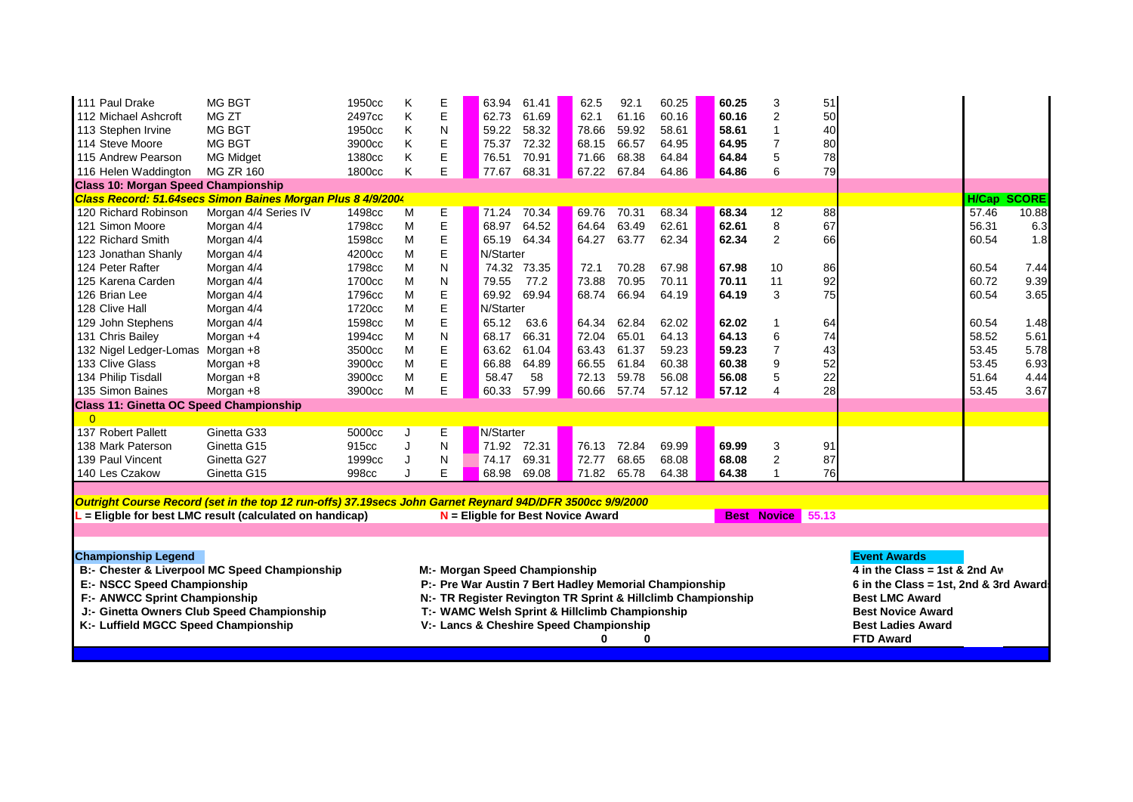| MG BGT<br>MG ZT<br>MG BGT<br>MG BGT<br><b>MG Midget</b><br><b>MG ZR 160</b>                                                                                                                                                       | 1950cc<br>2497cc<br>1950cc<br>3900cc<br>1380cc<br>1800cc                                                                                                                                                                                                                                             | Κ<br>Κ<br>K<br>Κ<br>Κ<br>K                                                                                                                                                                                           | E<br>E<br>N<br>E<br>E<br>E                                                                                                        |                                                                                                                 | 61.41<br>61.69<br>58.32<br>72.32<br>70.91<br>68.31 | 62.5<br>62.1<br>78.66<br>68.15<br>71.66<br>67.22                                                                                                                                                                                                                                                                   | 92.1<br>61.16<br>59.92<br>66.57<br>68.38<br>67.84                                                                                                 | 60.25<br>60.16<br>58.61<br>64.95<br>64.84<br>64.86                                                                                                                                                                |                                                                                                                                                                     | 60.25<br>60.16<br>58.61<br>64.95<br>64.84<br>64.86 | 3<br>$\overline{2}$<br>$\mathbf{1}$<br>$\overline{7}$<br>5<br>$6\phantom{1}6$                                                                                                                                                               | 51<br>50<br>40<br>80<br>78<br>79                                                                                                                                                              |                                                                                     |       |                                                                                                                                                                                         |
|-----------------------------------------------------------------------------------------------------------------------------------------------------------------------------------------------------------------------------------|------------------------------------------------------------------------------------------------------------------------------------------------------------------------------------------------------------------------------------------------------------------------------------------------------|----------------------------------------------------------------------------------------------------------------------------------------------------------------------------------------------------------------------|-----------------------------------------------------------------------------------------------------------------------------------|-----------------------------------------------------------------------------------------------------------------|----------------------------------------------------|--------------------------------------------------------------------------------------------------------------------------------------------------------------------------------------------------------------------------------------------------------------------------------------------------------------------|---------------------------------------------------------------------------------------------------------------------------------------------------|-------------------------------------------------------------------------------------------------------------------------------------------------------------------------------------------------------------------|---------------------------------------------------------------------------------------------------------------------------------------------------------------------|----------------------------------------------------|---------------------------------------------------------------------------------------------------------------------------------------------------------------------------------------------------------------------------------------------|-----------------------------------------------------------------------------------------------------------------------------------------------------------------------------------------------|-------------------------------------------------------------------------------------|-------|-----------------------------------------------------------------------------------------------------------------------------------------------------------------------------------------|
| <b>Class 10: Morgan Speed Championship</b>                                                                                                                                                                                        |                                                                                                                                                                                                                                                                                                      |                                                                                                                                                                                                                      |                                                                                                                                   |                                                                                                                 |                                                    |                                                                                                                                                                                                                                                                                                                    |                                                                                                                                                   |                                                                                                                                                                                                                   |                                                                                                                                                                     |                                                    |                                                                                                                                                                                                                                             |                                                                                                                                                                                               |                                                                                     |       |                                                                                                                                                                                         |
|                                                                                                                                                                                                                                   |                                                                                                                                                                                                                                                                                                      |                                                                                                                                                                                                                      |                                                                                                                                   |                                                                                                                 |                                                    |                                                                                                                                                                                                                                                                                                                    |                                                                                                                                                   |                                                                                                                                                                                                                   |                                                                                                                                                                     |                                                    |                                                                                                                                                                                                                                             |                                                                                                                                                                                               |                                                                                     |       |                                                                                                                                                                                         |
| Morgan 4/4 Series IV                                                                                                                                                                                                              | 1498cc                                                                                                                                                                                                                                                                                               | M                                                                                                                                                                                                                    | $\overline{E}$                                                                                                                    |                                                                                                                 | 70.34                                              | 69.76                                                                                                                                                                                                                                                                                                              | 70.31                                                                                                                                             | 68.34                                                                                                                                                                                                             |                                                                                                                                                                     | 68.34                                              | 12                                                                                                                                                                                                                                          | 88                                                                                                                                                                                            |                                                                                     | 57.46 | 10.88                                                                                                                                                                                   |
| Morgan 4/4                                                                                                                                                                                                                        | 1798cc                                                                                                                                                                                                                                                                                               | M                                                                                                                                                                                                                    |                                                                                                                                   |                                                                                                                 | 64.52                                              | 64.64                                                                                                                                                                                                                                                                                                              |                                                                                                                                                   | 62.61                                                                                                                                                                                                             |                                                                                                                                                                     | 62.61                                              | $\bf 8$                                                                                                                                                                                                                                     | 67                                                                                                                                                                                            |                                                                                     | 56.31 | 6.3                                                                                                                                                                                     |
|                                                                                                                                                                                                                                   |                                                                                                                                                                                                                                                                                                      | M                                                                                                                                                                                                                    |                                                                                                                                   |                                                                                                                 |                                                    |                                                                                                                                                                                                                                                                                                                    |                                                                                                                                                   |                                                                                                                                                                                                                   |                                                                                                                                                                     |                                                    |                                                                                                                                                                                                                                             |                                                                                                                                                                                               |                                                                                     |       | 1.8                                                                                                                                                                                     |
|                                                                                                                                                                                                                                   |                                                                                                                                                                                                                                                                                                      |                                                                                                                                                                                                                      |                                                                                                                                   |                                                                                                                 |                                                    |                                                                                                                                                                                                                                                                                                                    |                                                                                                                                                   |                                                                                                                                                                                                                   |                                                                                                                                                                     |                                                    |                                                                                                                                                                                                                                             |                                                                                                                                                                                               |                                                                                     |       |                                                                                                                                                                                         |
|                                                                                                                                                                                                                                   |                                                                                                                                                                                                                                                                                                      |                                                                                                                                                                                                                      |                                                                                                                                   |                                                                                                                 |                                                    |                                                                                                                                                                                                                                                                                                                    |                                                                                                                                                   |                                                                                                                                                                                                                   |                                                                                                                                                                     |                                                    |                                                                                                                                                                                                                                             |                                                                                                                                                                                               |                                                                                     |       | 7.44                                                                                                                                                                                    |
|                                                                                                                                                                                                                                   |                                                                                                                                                                                                                                                                                                      |                                                                                                                                                                                                                      |                                                                                                                                   |                                                                                                                 |                                                    |                                                                                                                                                                                                                                                                                                                    |                                                                                                                                                   |                                                                                                                                                                                                                   |                                                                                                                                                                     |                                                    |                                                                                                                                                                                                                                             |                                                                                                                                                                                               |                                                                                     |       | 9.39                                                                                                                                                                                    |
|                                                                                                                                                                                                                                   |                                                                                                                                                                                                                                                                                                      |                                                                                                                                                                                                                      |                                                                                                                                   |                                                                                                                 |                                                    |                                                                                                                                                                                                                                                                                                                    |                                                                                                                                                   |                                                                                                                                                                                                                   |                                                                                                                                                                     |                                                    |                                                                                                                                                                                                                                             |                                                                                                                                                                                               |                                                                                     |       | 3.65                                                                                                                                                                                    |
|                                                                                                                                                                                                                                   |                                                                                                                                                                                                                                                                                                      |                                                                                                                                                                                                                      |                                                                                                                                   |                                                                                                                 |                                                    |                                                                                                                                                                                                                                                                                                                    |                                                                                                                                                   |                                                                                                                                                                                                                   |                                                                                                                                                                     |                                                    |                                                                                                                                                                                                                                             |                                                                                                                                                                                               |                                                                                     |       |                                                                                                                                                                                         |
|                                                                                                                                                                                                                                   |                                                                                                                                                                                                                                                                                                      |                                                                                                                                                                                                                      |                                                                                                                                   |                                                                                                                 |                                                    |                                                                                                                                                                                                                                                                                                                    |                                                                                                                                                   |                                                                                                                                                                                                                   |                                                                                                                                                                     |                                                    |                                                                                                                                                                                                                                             |                                                                                                                                                                                               |                                                                                     |       | 1.48                                                                                                                                                                                    |
|                                                                                                                                                                                                                                   |                                                                                                                                                                                                                                                                                                      |                                                                                                                                                                                                                      |                                                                                                                                   |                                                                                                                 |                                                    |                                                                                                                                                                                                                                                                                                                    |                                                                                                                                                   |                                                                                                                                                                                                                   |                                                                                                                                                                     |                                                    |                                                                                                                                                                                                                                             |                                                                                                                                                                                               |                                                                                     |       | 5.61                                                                                                                                                                                    |
|                                                                                                                                                                                                                                   |                                                                                                                                                                                                                                                                                                      |                                                                                                                                                                                                                      |                                                                                                                                   |                                                                                                                 |                                                    |                                                                                                                                                                                                                                                                                                                    |                                                                                                                                                   |                                                                                                                                                                                                                   |                                                                                                                                                                     |                                                    |                                                                                                                                                                                                                                             |                                                                                                                                                                                               |                                                                                     |       | 5.78                                                                                                                                                                                    |
|                                                                                                                                                                                                                                   |                                                                                                                                                                                                                                                                                                      |                                                                                                                                                                                                                      |                                                                                                                                   |                                                                                                                 |                                                    |                                                                                                                                                                                                                                                                                                                    |                                                                                                                                                   |                                                                                                                                                                                                                   |                                                                                                                                                                     |                                                    |                                                                                                                                                                                                                                             |                                                                                                                                                                                               |                                                                                     |       | 6.93                                                                                                                                                                                    |
|                                                                                                                                                                                                                                   |                                                                                                                                                                                                                                                                                                      |                                                                                                                                                                                                                      |                                                                                                                                   |                                                                                                                 |                                                    |                                                                                                                                                                                                                                                                                                                    |                                                                                                                                                   |                                                                                                                                                                                                                   |                                                                                                                                                                     |                                                    |                                                                                                                                                                                                                                             |                                                                                                                                                                                               |                                                                                     |       | 4.44                                                                                                                                                                                    |
|                                                                                                                                                                                                                                   |                                                                                                                                                                                                                                                                                                      |                                                                                                                                                                                                                      |                                                                                                                                   |                                                                                                                 |                                                    |                                                                                                                                                                                                                                                                                                                    |                                                                                                                                                   |                                                                                                                                                                                                                   |                                                                                                                                                                     |                                                    |                                                                                                                                                                                                                                             |                                                                                                                                                                                               |                                                                                     |       | 3.67                                                                                                                                                                                    |
|                                                                                                                                                                                                                                   |                                                                                                                                                                                                                                                                                                      |                                                                                                                                                                                                                      |                                                                                                                                   |                                                                                                                 |                                                    |                                                                                                                                                                                                                                                                                                                    |                                                                                                                                                   |                                                                                                                                                                                                                   |                                                                                                                                                                     |                                                    |                                                                                                                                                                                                                                             |                                                                                                                                                                                               |                                                                                     |       |                                                                                                                                                                                         |
|                                                                                                                                                                                                                                   |                                                                                                                                                                                                                                                                                                      |                                                                                                                                                                                                                      |                                                                                                                                   |                                                                                                                 |                                                    |                                                                                                                                                                                                                                                                                                                    |                                                                                                                                                   |                                                                                                                                                                                                                   |                                                                                                                                                                     |                                                    |                                                                                                                                                                                                                                             |                                                                                                                                                                                               |                                                                                     |       |                                                                                                                                                                                         |
|                                                                                                                                                                                                                                   |                                                                                                                                                                                                                                                                                                      |                                                                                                                                                                                                                      |                                                                                                                                   |                                                                                                                 |                                                    |                                                                                                                                                                                                                                                                                                                    |                                                                                                                                                   |                                                                                                                                                                                                                   |                                                                                                                                                                     |                                                    |                                                                                                                                                                                                                                             |                                                                                                                                                                                               |                                                                                     |       |                                                                                                                                                                                         |
|                                                                                                                                                                                                                                   |                                                                                                                                                                                                                                                                                                      |                                                                                                                                                                                                                      |                                                                                                                                   |                                                                                                                 |                                                    |                                                                                                                                                                                                                                                                                                                    |                                                                                                                                                   |                                                                                                                                                                                                                   |                                                                                                                                                                     |                                                    |                                                                                                                                                                                                                                             |                                                                                                                                                                                               |                                                                                     |       |                                                                                                                                                                                         |
|                                                                                                                                                                                                                                   |                                                                                                                                                                                                                                                                                                      |                                                                                                                                                                                                                      |                                                                                                                                   |                                                                                                                 |                                                    |                                                                                                                                                                                                                                                                                                                    |                                                                                                                                                   |                                                                                                                                                                                                                   |                                                                                                                                                                     |                                                    |                                                                                                                                                                                                                                             |                                                                                                                                                                                               |                                                                                     |       |                                                                                                                                                                                         |
|                                                                                                                                                                                                                                   |                                                                                                                                                                                                                                                                                                      |                                                                                                                                                                                                                      |                                                                                                                                   |                                                                                                                 |                                                    |                                                                                                                                                                                                                                                                                                                    |                                                                                                                                                   |                                                                                                                                                                                                                   |                                                                                                                                                                     |                                                    |                                                                                                                                                                                                                                             |                                                                                                                                                                                               |                                                                                     |       |                                                                                                                                                                                         |
|                                                                                                                                                                                                                                   |                                                                                                                                                                                                                                                                                                      |                                                                                                                                                                                                                      |                                                                                                                                   |                                                                                                                 |                                                    |                                                                                                                                                                                                                                                                                                                    |                                                                                                                                                   |                                                                                                                                                                                                                   |                                                                                                                                                                     |                                                    |                                                                                                                                                                                                                                             |                                                                                                                                                                                               |                                                                                     |       |                                                                                                                                                                                         |
| Outright Course Record (set in the top 12 run-offs) 37.19secs John Garnet Reynard 94D/DFR 3500cc 9/9/2000                                                                                                                         |                                                                                                                                                                                                                                                                                                      |                                                                                                                                                                                                                      |                                                                                                                                   |                                                                                                                 |                                                    |                                                                                                                                                                                                                                                                                                                    |                                                                                                                                                   |                                                                                                                                                                                                                   |                                                                                                                                                                     |                                                    |                                                                                                                                                                                                                                             |                                                                                                                                                                                               |                                                                                     |       |                                                                                                                                                                                         |
|                                                                                                                                                                                                                                   |                                                                                                                                                                                                                                                                                                      |                                                                                                                                                                                                                      |                                                                                                                                   |                                                                                                                 |                                                    |                                                                                                                                                                                                                                                                                                                    |                                                                                                                                                   |                                                                                                                                                                                                                   |                                                                                                                                                                     |                                                    |                                                                                                                                                                                                                                             |                                                                                                                                                                                               |                                                                                     |       |                                                                                                                                                                                         |
|                                                                                                                                                                                                                                   |                                                                                                                                                                                                                                                                                                      |                                                                                                                                                                                                                      |                                                                                                                                   |                                                                                                                 |                                                    |                                                                                                                                                                                                                                                                                                                    |                                                                                                                                                   |                                                                                                                                                                                                                   |                                                                                                                                                                     |                                                    |                                                                                                                                                                                                                                             |                                                                                                                                                                                               |                                                                                     |       |                                                                                                                                                                                         |
| <b>Championship Legend</b><br>B:- Chester & Liverpool MC Speed Championship<br>E:- NSCC Speed Championship<br>F:- ANWCC Sprint Championship<br>J:- Ginetta Owners Club Speed Championship<br>K:- Luffield MGCC Speed Championship |                                                                                                                                                                                                                                                                                                      |                                                                                                                                                                                                                      |                                                                                                                                   |                                                                                                                 |                                                    | 0                                                                                                                                                                                                                                                                                                                  |                                                                                                                                                   |                                                                                                                                                                                                                   |                                                                                                                                                                     |                                                    | <b>Event Awards</b><br><b>Best LMC Award</b><br><b>Best Novice Award</b><br><b>Best Ladies Award</b><br><b>FTD Award</b>                                                                                                                    |                                                                                                                                                                                               |                                                                                     |       |                                                                                                                                                                                         |
|                                                                                                                                                                                                                                   | Morgan 4/4<br>Morgan 4/4<br>Morgan 4/4<br>Morgan 4/4<br>Morgan 4/4<br>Morgan 4/4<br>Morgan 4/4<br>Morgan +4<br>132 Nigel Ledger-Lomas Morgan +8<br>Morgan +8<br>Morgan +8<br>Morgan +8<br><b>Class 11: Ginetta OC Speed Championship</b><br>Ginetta G33<br>Ginetta G15<br>Ginetta G27<br>Ginetta G15 | 1598cc<br>4200cc<br>1798cc<br>1700cc<br>1796cc<br>1720cc<br>1598cc<br>1994cc<br>3500cc<br>3900cc<br>3900cc<br>3900cc<br>5000cc<br>915cc<br>1999cc<br>998cc<br>- Eligble for best LMC result (calculated on handicap) | Class Record: 51.64secs Simon Baines Morgan Plus 8 4/9/2004<br>M<br>M<br>M<br>M<br>M<br>M<br>M<br>M<br>M<br>M<br>M<br>J<br>J<br>J | E<br>E<br>E<br>N<br>$\mathsf{N}$<br>E<br>E<br>E<br>$\mathsf{N}$<br>E<br>E<br>E<br>E<br>E<br>${\sf N}$<br>N<br>E | 75.37<br>76.51<br>71.24                            | 63.94<br>62.73<br>59.22<br>77.67<br>68.97<br>65.19<br>64.34<br>N/Starter<br>74.32 73.35<br>79.55<br>77.2<br>69.94<br>69.92<br>N/Starter<br>65.12<br>63.6<br>66.31<br>68.17<br>63.62<br>61.04<br>66.88<br>64.89<br>58.47<br>58<br>57.99<br>60.33<br>N/Starter<br>72.31<br>71.92<br>69.31<br>74.17<br>68.98<br>69.08 | 64.27<br>72.1<br>73.88<br>68.74<br>64.34<br>72.04<br>63.43<br>66.55<br>72.13<br>60.66<br>76.13<br>72.77<br>71.82<br>M:- Morgan Speed Championship | 63.49<br>63.77<br>70.28<br>70.95<br>66.94<br>62.84<br>65.01<br>61.37<br>61.84<br>59.78<br>57.74<br>72.84<br>68.65<br>65.78<br>$N =$ Eligble for Best Novice Award<br>V:- Lancs & Cheshire Speed Championship<br>0 | 62.34<br>67.98<br>70.11<br>64.19<br>62.02<br>64.13<br>59.23<br>60.38<br>56.08<br>57.12<br>69.99<br>68.08<br>64.38<br>T:- WAMC Welsh Sprint & Hillclimb Championship |                                                    | 62.34<br>67.98<br>70.11<br>64.19<br>62.02<br>64.13<br>59.23<br>60.38<br>56.08<br>57.12<br>69.99<br>68.08<br>64.38<br>P:- Pre War Austin 7 Bert Hadley Memorial Championship<br>N:- TR Register Revington TR Sprint & Hillclimb Championship | $\overline{2}$<br>10<br>11<br>3<br>$\mathbf 1$<br>$6\phantom{1}6$<br>$\overline{7}$<br>$\boldsymbol{9}$<br>5<br>$\overline{4}$<br>3<br>$\overline{2}$<br>$\overline{1}$<br><b>Best Novice</b> | 66<br>86<br>92<br>75<br>64<br>74<br>43<br>52<br>22<br>28<br>91<br>87<br>76<br>55.13 |       | <b>H/Cap SCORE</b><br>60.54<br>60.54<br>60.72<br>60.54<br>60.54<br>58.52<br>53.45<br>53.45<br>51.64<br>53.45<br>4 in the Class = 1st & 2nd Aw<br>6 in the Class = 1st, 2nd & 3rd Award: |